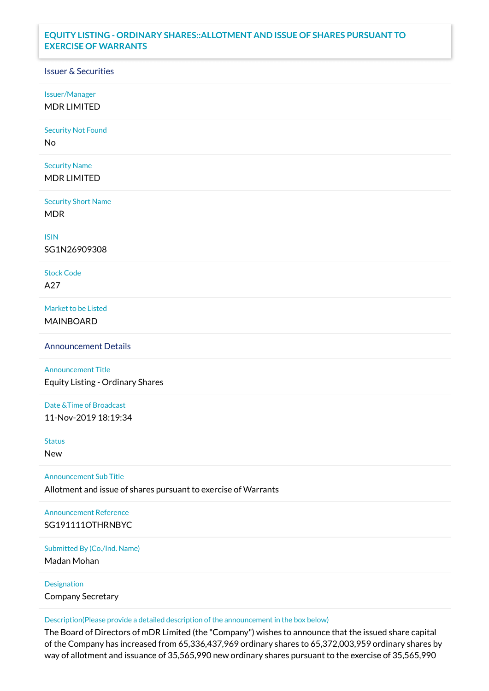## **EQUITY LISTING - ORDINARY SHARES::ALLOTMENT AND ISSUE OF SHARES PURSUANT TO EXERCISE OF WARRANTS**

## Issuer & Securities

Issuer/Manager

MDR LIMITED

Security Not Found

No

Security Name MDR LIMITED

Security Short Name MDR

ISIN

SG1N26909308

Stock Code A27

Market to be Listed MAINBOARD

Announcement Details

Announcement Title Equity Listing - Ordinary Shares

Date &Time of Broadcast 11-Nov-2019 18:19:34

Status

New

Announcement Sub Title

Allotment and issue of shares pursuant to exercise of Warrants

Announcement Reference SG191111OTHRNBYC

Submitted By (Co./Ind. Name)

Madan Mohan

Designation Company Secretary

Description(Please provide a detailed description of the announcement in the box below)

The Board of Directors of mDR Limited (the "Company") wishes to announce that the issued share capital of the Company has increased from 65,336,437,969 ordinary shares to 65,372,003,959 ordinary shares by way of allotment and issuance of 35,565,990 new ordinary shares pursuant to the exercise of 35,565,990